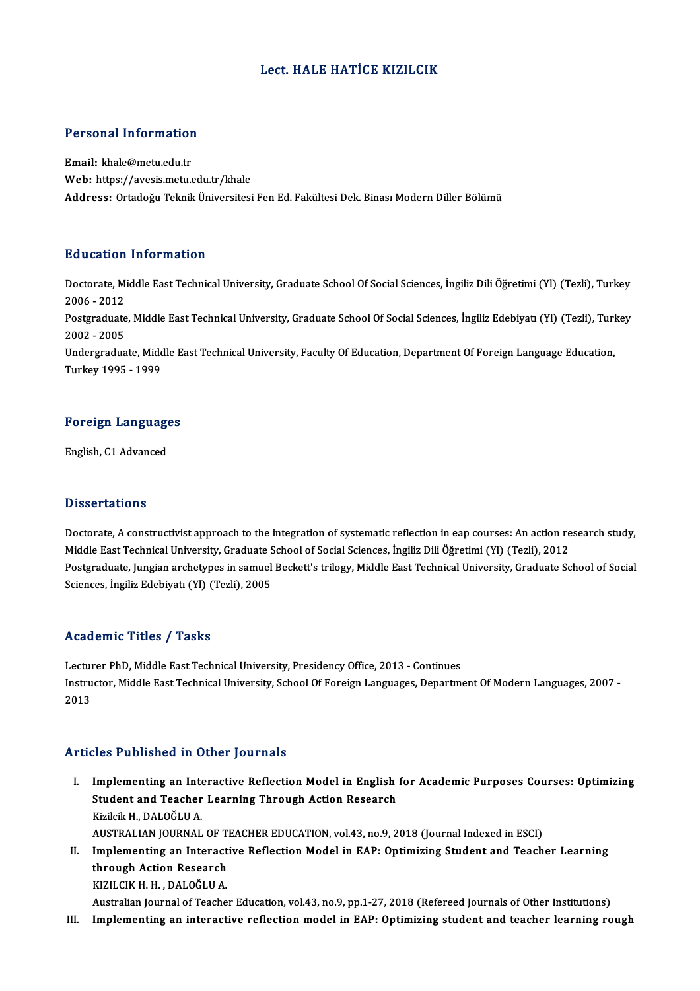### Lect. HALE HATİCE KIZILCIK

# Personal Information

Personal Information<br>Email: khale@metu.edu.tr<br>Web: https://avesis.mstv Email: khale@metu.edu.tr<br>Web: https://avesis.metu.edu.tr/khale Address: Ortadoğu Teknik Üniversitesi Fen Ed. Fakültesi Dek. Binası Modern Diller Bölümü

### Education Information

**Education Information**<br>Doctorate, Middle East Technical University, Graduate School Of Social Sciences, İngiliz Dili Öğretimi (Yl) (Tezli), Turkey<br>2006 - 2012 2006 -2012<br>2006 - 2012<br>Postaraduata Doctorate, Middle East Technical University, Graduate School Of Social Sciences, İngiliz Dili Öğretimi (Yl) (Tezli), Turkey<br>2006 - 2012<br>Postgraduate, Middle East Technical University, Graduate School Of Social Sciences, İn

2006 - 2012<br>Postgraduate<br>2002 - 2005<br>Undergradua Postgraduate, Middle East Technical University, Graduate School Of Social Sciences, İngiliz Edebiyatı (Yl) (Tezli), Turl<br>2002 - 2005<br>Undergraduate, Middle East Technical University, Faculty Of Education, Department Of Fore

2002 - 2005<br>Undergraduate, Middle East Technical University, Faculty Of Education, Department Of Foreign Language Education,<br>Turkey 1995 - 1999

# Turkey 1995 - 1999<br>Foreign Languages <mark>Foreign Languag</mark><br>English, C1 Advanced

English, C1 Advanced<br>Dissertations

Dissertations<br>Doctorate, A constructivist approach to the integration of systematic reflection in eap courses: An action research study,<br>Middle Fest Technical University, Craduate School of Secial Sciences, Insilie Dili Öğ Missor tarroms<br>Doctorate, A constructivist approach to the integration of systematic reflection in eap courses: An action re<br>Middle East Technical University, Graduate School of Social Sciences, İngiliz Dili Öğretimi (Yl) Doctorate, A constructivist approach to the integration of systematic reflection in eap courses: An action research study,<br>Middle East Technical University, Graduate School of Social Sciences, İngiliz Dili Öğretimi (Yl) (T Middle East Technical University, Graduate School of Social Sciences, İngiliz Dili Öğretimi (Yl) (Tezli), 2012<br>Postgraduate, Jungian archetypes in samuel Beckett's trilogy, Middle East Technical University, Graduate School

### Academic Titles / Tasks

Academic Titles / Tasks<br>Lecturer PhD, Middle East Technical University, Presidency Office, 2013 - Continues<br>Instructor Middle Fast Technical University, School Of Foreign Languages, Denartm Instructor, Middle East Technical University, School Of Foreign Languages, Department Of Modern Languages, 2007 -<br>2013 Lectui<br>Instru<br>2013

### Articles Published in Other Journals

rticles Published in Other Journals<br>I. Implementing an Interactive Reflection Model in English for Academic Purposes Courses: Optimizing<br>Student and Teacher Learning Through Action Pessearch Student absoluted in Student Judentum<br>Implementing an Interactive Reflection Model in English<br>Student and Teacher Learning Through Action Research<br>Virileik H. DALOČLUA Implementing an Inte<br>Student and Teacher<br>Kizilcik H., DALOĞLU A.<br>AUSTRALIAN IOUPNAL Student and Teacher Learning Through Action Research<br>Kizilcik H., DALOĞLU A.<br>AUSTRALIAN JOURNAL OF TEACHER EDUCATION, vol.43, no.9, 2018 (Journal Indexed in ESCI)<br>Implementing an Interactive Beflection Model in EAB: Ontimi Kizilcik H., DALOĞLU A.<br>AUSTRALIAN JOURNAL OF TEACHER EDUCATION, vol.43, no.9, 2018 (Journal Indexed in ESCI)<br>II. Implementing an Interactive Reflection Model in EAP: Optimizing Student and Teacher Learning<br>through Action

AUSTRALIAN JOURNAL OF T<br>Implementing an Interact<br>through Action Research<br>PITH CIV H H - DALOČI H A Implementing an Interact<br>through Action Research<br>KIZILCIK H. H. , DALOĞLU A.<br>Australian Journal of Teashe through Action Research<br>KIZILCIK H. H. , DALOĞLU A.<br>Australian Journal of Teacher Education, vol.43, no.9, pp.1-27, 2018 (Refereed Journals of Other Institutions)

- 
- III. Implementing an interactive reflection model in EAP: Optimizing student and teacher learning rough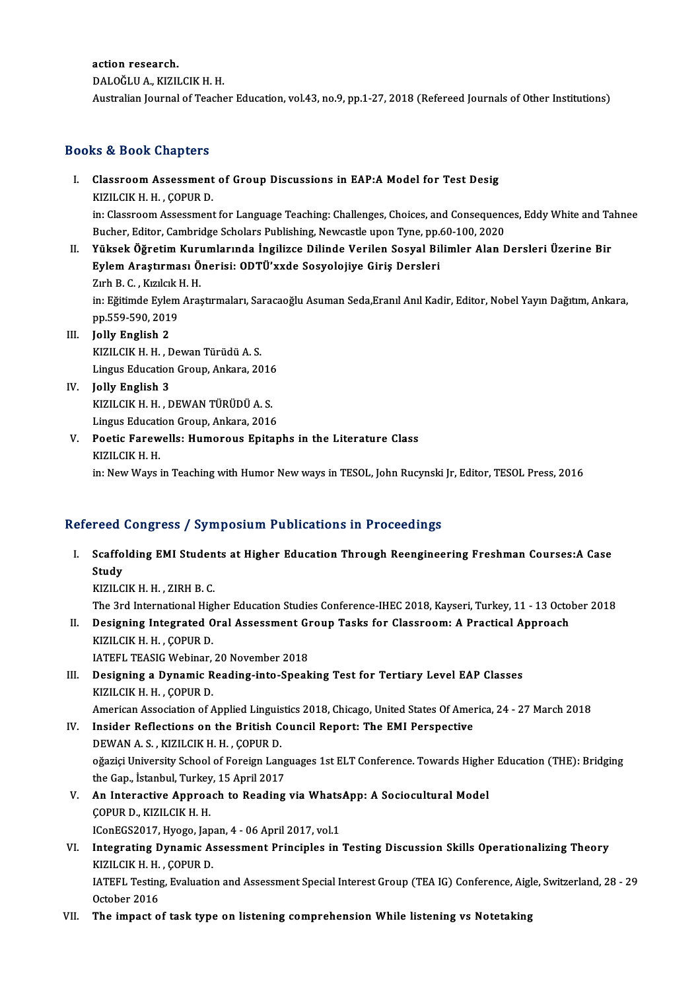action research.

DALOĞLUA.,KIZILCIKH.H.

Australian Journal of Teacher Education, vol.43, no.9, pp.1-27, 2018 (Refereed Journals of Other Institutions)

### Books&Book Chapters

- ooks & Book Chapters<br>I. Classroom Assessment of Group Discussions in EAP:A Model for Test Desig KIZILCIK H.H., ÇOPURD.<br>KIZILCIK H.H., ÇOPUR D.<br>in: Classroom Assessment KIZILCIK H. H. , ÇOPUR D.<br>in: Classroom Assessment for Language Teaching: Challenges, Choices, and Consequences, Eddy White and Tahnee Bucher, Editor, Cambridge Scholars Publishing, Newcastle upon Tyne, pp.60-100, 2020 in: Classroom Assessment for Language Teaching: Challenges, Choices, and Consequences, Eddy White and Ta<br>Bucher, Editor, Cambridge Scholars Publishing, Newcastle upon Tyne, pp.60-100, 2020<br>II. Yüksek Öğretim Kurumlarında İ
- Bucher, Editor, Cambridge Scholars Publishing, Newcastle upon Tyne, pp.<br>Yüksek Öğretim Kurumlarında İngilizce Dilinde Verilen Sosyal Bil<br>Eylem Araştırması Önerisi: ODTÜ'xxde Sosyolojiye Giriş Dersleri<br>Zirh B. G. Kırılcıl: Yüksek Öğretim Kur<mark>ı</mark><br>Eylem Araştırması Ö<br>Zırh B. C. , Kızılcık H. H.<br>inı Eğitimde Eylem Aras Eylem Araştırması Önerisi: ODTÜ'xxde Sosyolojiye Giriş Dersleri<br>Zırh B. C. , Kızılcık H. H.<br>in: Eğitimde Eylem Araştırmaları, Saracaoğlu Asuman Seda,Eranıl Anıl Kadir, Editor, Nobel Yayın Dağıtım, Ankara,<br>pp EEQ EQQ 2019 Zırh B. C. , Kızılcık l<br>in: Eğitimde Eylem<br>pp.559-590, 2019<br>Jolly English 2
- pp.559-590, 2019<br>III. Jolly English 2 pp.559-590, 2019<br>Jolly English 2<br>KIZILCIK H. H. , Dewan Türüdü A. S.<br>Lingue Education Croup, Apliara, 20 Jolly English 2<br>KIZILCIK H. H. , Dewan Türüdü A. S.<br>Lingus Education Group, Ankara, 2016<br>Jolly English 2
- Lingus Education Group, Ankara, 2016<br>IV. Jolly English 3 Lingus Education Group, Ankara, 2016<br>Jolly English 3<br>KIZILCIK H. H. , DEWAN TÜRÜDÜ A. S.<br>Lingus Education Croup, Ankara, 2016 Jolly English 3<br>KIZILCIK H. H. , DEWAN TÜRÜDÜ A. S.<br>Lingus Education Group, Ankara, 2016<br>Poetis Earswells: Humerous Enitar
- KIZILCIK H. H. , DEWAN TÜRÜDÜ A. S.<br>Lingus Education Group, Ankara, 2016<br>V. Poetic Farewells: Humorous Epitaphs in the Literature Class<br>KIZU CIK H. H Lingus Educati<br>Poetic Farew<br>KIZILCIK H. H.<br>in: Now Ways KIZILCIK H. H.<br>in: New Ways in Teaching with Humor New ways in TESOL, John Rucynski Jr, Editor, TESOL Press, 2016

### Refereed Congress / Symposium Publications in Proceedings

efereed Congress / Symposium Publications in Proceedings<br>I. Scaffolding EMI Students at Higher Education Through Reengineering Freshman Courses:A Case<br>Study reea<br>Scaffo<br>Study<br><sup>VI7H</sup> C Scaffolding EMI Studen<br>Study<br>KIZILCIK H. H. , ZIRH B. C.<br>The 2rd International High Study<br>KIZILCIK H. H. , ZIRH B. C.<br>The 3rd International Higher Education Studies Conference-IHEC 2018, Kayseri, Turkey, 11 - 13 October 2018

- KIZILCIK H. H. , ZIRH B. C.<br>The 3rd International Higher Education Studies Conference-IHEC 2018, Kayseri, Turkey, 11 13 Octo<br>II. Designing Integrated Oral Assessment Group Tasks for Classroom: A Practical Approach<br>ER The 3rd International High<br>Designing Integrated O<br>KIZILCIK H. H. , ÇOPUR D.<br>LATEEL TEASIC Wobinar Designing Integrated Oral Assessment G1<br>KIZILCIK H. H. , ÇOPUR D.<br>IATEFL TEASIG Webinar, 20 November 2018<br>Designing a Dunamis Beading inte Speak
- KIZILCIK H. H. , ÇOPUR D.<br>IATEFL TEASIG Webinar, 20 November 2018<br>III. Designing a Dynamic Reading-into-Speaking Test for Tertiary Level EAP Classes<br>KIZILCIK H. H. COBUR D. IATEFL TEASIG Webinar,<br>Designing a Dynamic R<br>KIZILCIK H. H. , ÇOPUR D.<br>American Asseciation of A KIZILCIK H. H., ÇOPUR D.<br>American Association of Applied Linguistics 2018, Chicago, United States Of America, 24 - 27 March 2018
- KIZILCIK H. H., ÇOPUR D.<br>American Association of Applied Linguistics 2018, Chicago, United States Of American Association on the British Council Report: The EMI Perspective<br>DEWAN A S. KIZU CIK H. H., COPUR D. American Association of Applied Linguis<br>Insider Reflections on the British C<br>DEWAN A.S., KIZILCIK H. H., ÇOPUR D. Insider Reflections on the British Council Report: The EMI Perspective<br>DEWAN A.S., KIZILCIK H. H. , ÇOPUR D.<br>oğaziçi University School of Foreign Languages 1st ELT Conference. Towards Higher Education (THE): Bridging<br>the C DEWAN A. S. , KIZILCIK H. H. , ÇOPUR D.<br>oğaziçi University School of Foreign Lang<br>the Gap., İstanbul, Turkey, 15 April 2017<br>An Interactive Appreach to Booding oğaziçi University School of Foreign Languages 1st ELT Conference. Towards Highe:<br>the Gap., İstanbul, Turkey, 15 April 2017<br>V. An Interactive Approach to Reading via WhatsApp: A Sociocultural Model<br>COPUP D. KIZU CIK H. H.
- the Gap., İstanbul, Turkey, 15 April 2017<br>V. An Interactive Approach to Reading via WhatsApp: A Sociocultural Model<br>COPUR D., KIZILCIK H. H. An Interactive Approach to Reading via Whats.<br>COPUR D., KIZILCIK H. H.<br>IConEGS2017, Hyogo, Japan, 4 - 06 April 2017, vol.1<br>Integrating Dunamic Assessment Principles in:
- VI. Integrating Dynamic Assessment Principles in Testing Discussion Skills Operationalizing Theory<br>KIZILCIK H. H., COPUR D. IConEGS2017, Hyogo, Jap.<br>I**ntegrating Dynamic A:**<br>KIZILCIK H. H. , ÇOPUR D.<br>IATEEL Testing Evaluatio Integrating Dynamic Assessment Principles in Testing Discussion Skills Operationalizing Theory<br>KIZILCIK H. H. , ÇOPUR D.<br>IATEFL Testing, Evaluation and Assessment Special Interest Group (TEA IG) Conference, Aigle, Switzerl KIZILCIK H. H.<br>IATEFL Testing<br>October 2016<br>The imnast e IATEFL Testing, Evaluation and Assessment Special Interest Group (TEA IG) Conference, Aigl<br>October 2016<br>VII. The impact of task type on listening comprehension While listening vs Notetaking
-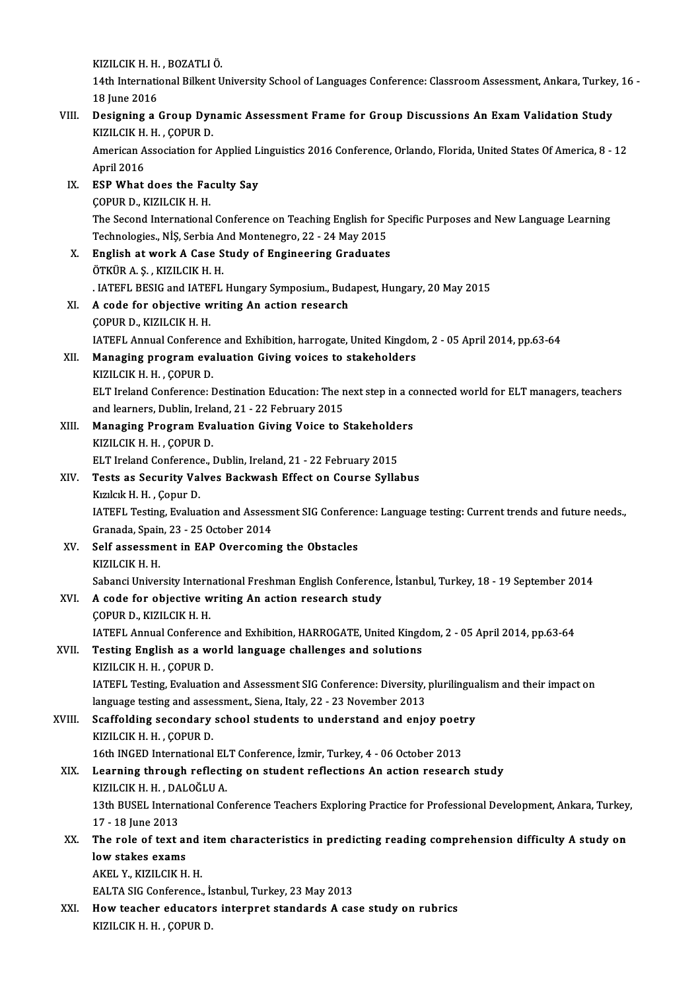KIZILCIK H. H. , BOZATLI Ö.<br>14th International Billient II.

14th International Bilkent University School of Languages Conference: Classroom Assessment, Ankara, Turkey, 16 -<br>18 Iune 2016 KIZILCIK H. H.<br>14th Internation<br>18 June 2016<br>Designing a 1 14th International Bilkent University School of Languages Conference: Classroom Assessment, Ankara, Turkey<br>18 June 2016<br>VIII. Designing a Group Dynamic Assessment Frame for Group Discussions An Exam Validation Study<br>VIZU C

# 18 June 2016<br>Designing a Group Dyn<br>KIZILCIK H. H. , ÇOPUR D.<br>American Asseciation for Designing a Group Dynamic Assessment Frame for Group Discussions An Exam Validation Study<br>KIZILCIK H. H. , ÇOPUR D.<br>American Association for Applied Linguistics 2016 Conference, Orlando, Florida, United States Of America,

KIZILCIK H. H. , ÇOPUR D.<br>American Association for Applied Linguistics 2016 Conference, Orlando, Florida, United States Of America, 8 - 12<br>April 2016

IX. ESPWhat does the Faculty Say ÇOPURD.,KIZILCIKH.H. ESP What does the Faculty Say<br>ÇOPUR D., KIZILCIK H. H.<br>The Second International Conference on Teaching English for Specific Purposes and New Language Learning<br>Technologies, NiS. Serbia And Montenegre, 22, 24 May 2015 COPUR D., KIZILCIK H. H.<br>The Second International Conference on Teaching English for S.<br>Technologies., NİŞ, Serbia And Montenegro, 22 - 24 May 2015<br>English at work A Gase Study of Engineering Craduates The Second International Conference on Teaching English for S<br>Technologies., NİŞ, Serbia And Montenegro, 22 - 24 May 2015<br>X. English at work A Case Study of Engineering Graduates<br>ÖTKÜP A S. KIZU CIK H. H

Technologies., NİŞ, Serbia And Montenegro, 22 - 24 May 2015<br>X. English at work A Case Study of Engineering Graduates<br>ÖTKÜR A. Ş., KIZILCIK H. H. English at work A Case Study of Engineering Graduates<br>ÖTKÜR A.Ş., KIZILCIK H. H.<br>. IATEFL BESIG and IATEFL Hungary Symposium., Budapest, Hungary, 20 May 2015<br>A sade for ebiestive writing An estien research.

### XI. A code for objective writing An action research MATEFL BESIG and IATE.<br>**A code for objective w<br>COPUR D., KIZILCIK H. H.**<br>JATEFL Annual Corforen A code for objective writing An action research<br>ÇOPUR D., KIZILCIK H. H.<br>IATEFL Annual Conference and Exhibition, harrogate, United Kingdom, 2 - 05 April 2014, pp.63-64<br>Managing program ovaluation Giving voises to stakehol

XII. Managing program evaluation Giving voices to stakeholders<br>KIZILCIK H. H., COPUR D. **IATEFL Annual Conferenc<br>Managing program eva<br>KIZILCIK H. H. , ÇOPUR D.<br>ELT Incland Conference: L** 

Managing program evaluation Giving voices to stakeholders<br>KIZILCIK H. H. , ÇOPUR D.<br>ELT Ireland Conference: Destination Education: The next step in a connected world for ELT managers, teachers<br>and learners, Dublin, Ireland KIZILCIK H. H. , ÇOPUR D.<br>ELT Ireland Conference: Destination Education: The n<br>and learners, Dublin, Ireland, 21 - 22 February 2015<br>Managing Program Evoluation Civing Voice to 6 ELT Ireland Conference: Destination Education: The next step in a co<br>and learners, Dublin, Ireland, 21 - 22 February 2015<br>XIII. Managing Program Evaluation Giving Voice to Stakeholders<br>XIII. Managing Program Evaluation Giv

and learners, Dublin, Ireland, 21 - 22 February 2015<br>Managing Program Evaluation Giving Voice to Stakeholders<br>KIZILCIK H. H. , COPUR D. Managing Program Evaluation Giving Voice to Stakeholde<br>KIZILCIK H. H., ÇOPUR D.<br>ELT Ireland Conference., Dublin, Ireland, 21 - 22 February 2015<br>Tests as Security Valves Baskwash Effect on Course Sylla

## XIV. Tests as Security Valves Backwash Effect on Course Syllabus<br>Kizilcik H. H., Çopur D. ELT Ireland Conference<br>Tests as Security Val<br>Kızılcık H. H. , Çopur D.<br>LATEEL Testing Evalue

Tests as Security Valves Backwash Effect on Course Syllabus<br>Kızılcık H. H. , Çopur D.<br>IATEFL Testing, Evaluation and Assessment SIG Conference: Language testing: Current trends and future needs.,<br>Cranada Spain. 22 . 25 Oct Kızılcık H. H. , Çopur D.<br>IATEFL Testing, Evaluation and Assess<br>Granada, Spain, 23 - 25 October 2014<br>Self assessment in FAR Quersemin IATEFL Testing, Evaluation and Assessment SIG Conferent Granada, Spain, 23 - 25 October 2014<br>XV. Self assessment in EAP Overcoming the Obstacles<br>VIZU CIV H H

# Granada, Spair<br>Self assessm<br>KIZILCIK H. H.<br>Sebangi Univer KIZILCIK H. H.<br>Sabanci University International Freshman English Conference, İstanbul, Turkey, 18 - 19 September 2014 KIZILCIK H. H.<br>Sabanci University International Freshman English Conferenc<br>XVI. A code for objective writing An action research study<br>COPUP D. VIZU CIV H. H.

# Sabanci University Intern<br>A code for objective w<br>ÇOPUR D., KIZILCIK H. H.<br>JATEEL Annual Corforen COPUR D., KIZILCIK H. H.<br>IATEFL Annual Conference and Exhibition, HARROGATE, United Kingdom, 2 - 05 April 2014, pp.63-64 COPUR D., KIZILCIK H. H.<br>IATEFL Annual Conference and Exhibition, HARROGATE, United Kingd<br>XVII. Testing English as a world language challenges and solutions<br>VIZU CIV H. H. COBUR D.

# IATEFL Annual Conferenc<br>Testing English as a wo<br>KIZILCIK H. H. , ÇOPUR D.<br>LATEFL Testing Evaluatio

Testing English as a world language challenges and solutions<br>KIZILCIK H. H. , ÇOPUR D.<br>IATEFL Testing, Evaluation and Assessment SIG Conference: Diversity, plurilingualism and their impact on<br>Janguage testing and assessmen KIZILCIK H. H. , ÇOPUR D.<br>IATEFL Testing, Evaluation and Assessment SIG Conference: Diversity,<br>language testing and assessment., Siena, Italy, 22 - 23 November 2013<br>Seaffolding secondary school students to understand and o language testing and assessment., Siena, Italy, 22 - 23 November 2013

XVIII. Scaffolding secondary school students to understand and enjoy poetry<br>KIZILCIK H. H., COPUR D. Scaffolding secondary school students to understand and enjoy poet:<br>KIZILCIK H. H. , ÇOPUR D.<br>16th INGED International ELT Conference, İzmir, Turkey, 4 - 06 October 2013<br>Learning through reflecting on student reflections A

### XIX. Learning through reflecting on student reflections An action research study 16th INGED International EL<br>Learning through reflecti<br>KIZILCIK H. H. , DALOĞLU A.<br>12th PUSEL International Co Learning through reflecting on student reflections An action research study<br>KIZILCIK H. H. , DALOĞLU A.<br>13th BUSEL International Conference Teachers Exploring Practice for Professional Development, Ankara, Turkey,<br>17, 19 J KIZILCIK H. H., DA<br>13th BUSEL Intern<br>17 - 18 June 2013<br>The role of text

## 13th BUSEL International Conference Teachers Exploring Practice for Professional Development, Ankara, Turkey<br>17 - 18 June 2013<br>XX. The role of text and item characteristics in predicting reading comprehension difficulty A 17 - 18 June 2013<br>The role of text an<br>low stakes exams low stakes exams<br>AKEL Y., KIZILCIK H. H. low stakes exams<br>AKEL Y., KIZILCIK H. H.<br>EALTA SIG Conference., İstanbul, Turkey, 23 May 2013<br>How teasher edusaters internret standarda A sas

XXI. How teacher educators interpret standards A case study on rubrics<br>KIZILCIK H. H., COPUR D. EALTA SIG Conference., İ:<br>How teacher educator:<br>KIZILCIK H. H. , ÇOPUR D.